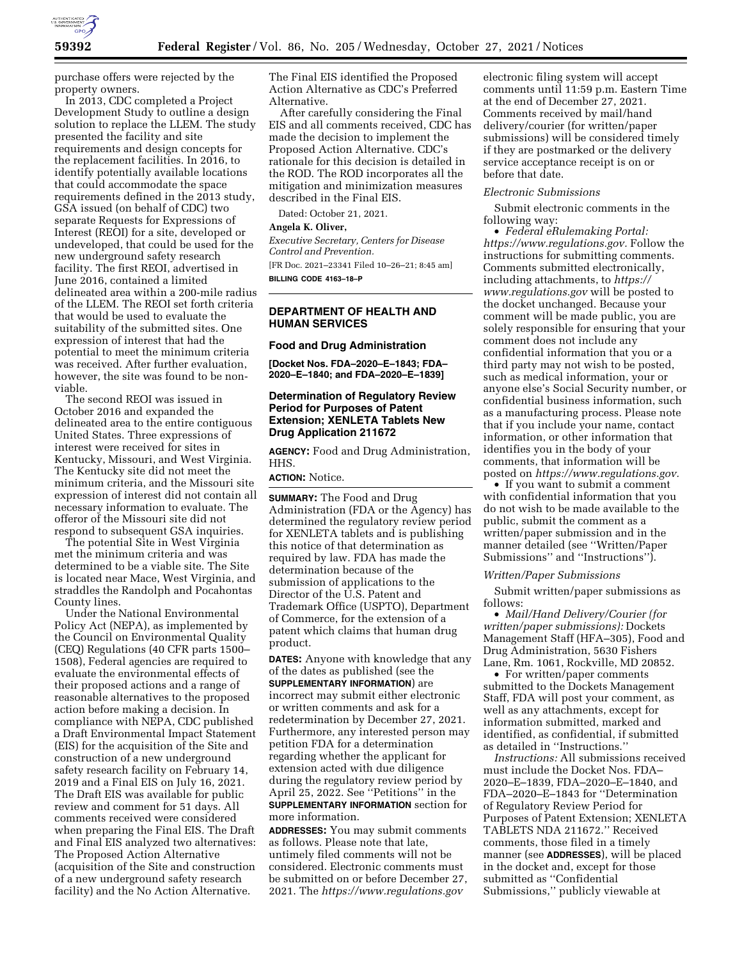

purchase offers were rejected by the property owners.

In 2013, CDC completed a Project Development Study to outline a design solution to replace the LLEM. The study presented the facility and site requirements and design concepts for the replacement facilities. In 2016, to identify potentially available locations that could accommodate the space requirements defined in the 2013 study, GSA issued (on behalf of CDC) two separate Requests for Expressions of Interest (REOI) for a site, developed or undeveloped, that could be used for the new underground safety research facility. The first REOI, advertised in June 2016, contained a limited delineated area within a 200-mile radius of the LLEM. The REOI set forth criteria that would be used to evaluate the suitability of the submitted sites. One expression of interest that had the potential to meet the minimum criteria was received. After further evaluation, however, the site was found to be nonviable.

The second REOI was issued in October 2016 and expanded the delineated area to the entire contiguous United States. Three expressions of interest were received for sites in Kentucky, Missouri, and West Virginia. The Kentucky site did not meet the minimum criteria, and the Missouri site expression of interest did not contain all necessary information to evaluate. The offeror of the Missouri site did not respond to subsequent GSA inquiries.

The potential Site in West Virginia met the minimum criteria and was determined to be a viable site. The Site is located near Mace, West Virginia, and straddles the Randolph and Pocahontas County lines.

Under the National Environmental Policy Act (NEPA), as implemented by the Council on Environmental Quality (CEQ) Regulations (40 CFR parts 1500– 1508), Federal agencies are required to evaluate the environmental effects of their proposed actions and a range of reasonable alternatives to the proposed action before making a decision. In compliance with NEPA, CDC published a Draft Environmental Impact Statement (EIS) for the acquisition of the Site and construction of a new underground safety research facility on February 14, 2019 and a Final EIS on July 16, 2021. The Draft EIS was available for public review and comment for 51 days. All comments received were considered when preparing the Final EIS. The Draft and Final EIS analyzed two alternatives: The Proposed Action Alternative (acquisition of the Site and construction of a new underground safety research facility) and the No Action Alternative.

The Final EIS identified the Proposed Action Alternative as CDC's Preferred Alternative.

After carefully considering the Final EIS and all comments received, CDC has made the decision to implement the Proposed Action Alternative. CDC's rationale for this decision is detailed in the ROD. The ROD incorporates all the mitigation and minimization measures described in the Final EIS.

Dated: October 21, 2021.

# **Angela K. Oliver,**

*Executive Secretary, Centers for Disease Control and Prevention.*  [FR Doc. 2021–23341 Filed 10–26–21; 8:45 am] **BILLING CODE 4163–18–P** 

### **DEPARTMENT OF HEALTH AND HUMAN SERVICES**

#### **Food and Drug Administration**

**[Docket Nos. FDA–2020–E–1843; FDA– 2020–E–1840; and FDA–2020–E–1839]** 

### **Determination of Regulatory Review Period for Purposes of Patent Extension; XENLETA Tablets New Drug Application 211672**

**AGENCY:** Food and Drug Administration, HHS.

### **ACTION:** Notice.

**SUMMARY:** The Food and Drug Administration (FDA or the Agency) has determined the regulatory review period for XENLETA tablets and is publishing this notice of that determination as required by law. FDA has made the determination because of the submission of applications to the Director of the U.S. Patent and Trademark Office (USPTO), Department of Commerce, for the extension of a patent which claims that human drug product.

**DATES:** Anyone with knowledge that any of the dates as published (see the **SUPPLEMENTARY INFORMATION**) are incorrect may submit either electronic or written comments and ask for a redetermination by December 27, 2021. Furthermore, any interested person may petition FDA for a determination regarding whether the applicant for extension acted with due diligence during the regulatory review period by April 25, 2022. See ''Petitions'' in the **SUPPLEMENTARY INFORMATION** section for more information.

**ADDRESSES:** You may submit comments as follows. Please note that late, untimely filed comments will not be considered. Electronic comments must be submitted on or before December 27, 2021. The *<https://www.regulations.gov>*

electronic filing system will accept comments until 11:59 p.m. Eastern Time at the end of December 27, 2021. Comments received by mail/hand delivery/courier (for written/paper submissions) will be considered timely if they are postmarked or the delivery service acceptance receipt is on or before that date.

### *Electronic Submissions*

Submit electronic comments in the following way:

• *Federal eRulemaking Portal: [https://www.regulations.gov.](https://www.regulations.gov)* Follow the instructions for submitting comments. Comments submitted electronically, including attachments, to *[https://](https://www.regulations.gov) [www.regulations.gov](https://www.regulations.gov)* will be posted to the docket unchanged. Because your comment will be made public, you are solely responsible for ensuring that your comment does not include any confidential information that you or a third party may not wish to be posted, such as medical information, your or anyone else's Social Security number, or confidential business information, such as a manufacturing process. Please note that if you include your name, contact information, or other information that identifies you in the body of your comments, that information will be posted on *[https://www.regulations.gov.](https://www.regulations.gov)* 

• If you want to submit a comment with confidential information that you do not wish to be made available to the public, submit the comment as a written/paper submission and in the manner detailed (see ''Written/Paper Submissions'' and ''Instructions'').

#### *Written/Paper Submissions*

Submit written/paper submissions as follows:

• *Mail/Hand Delivery/Courier (for written/paper submissions):* Dockets Management Staff (HFA–305), Food and Drug Administration, 5630 Fishers Lane, Rm. 1061, Rockville, MD 20852.

• For written/paper comments submitted to the Dockets Management Staff, FDA will post your comment, as well as any attachments, except for information submitted, marked and identified, as confidential, if submitted as detailed in ''Instructions.''

*Instructions:* All submissions received must include the Docket Nos. FDA– 2020–E–1839, FDA–2020–E–1840, and FDA–2020–E–1843 for ''Determination of Regulatory Review Period for Purposes of Patent Extension; XENLETA TABLETS NDA 211672.'' Received comments, those filed in a timely manner (see **ADDRESSES**), will be placed in the docket and, except for those submitted as ''Confidential Submissions,'' publicly viewable at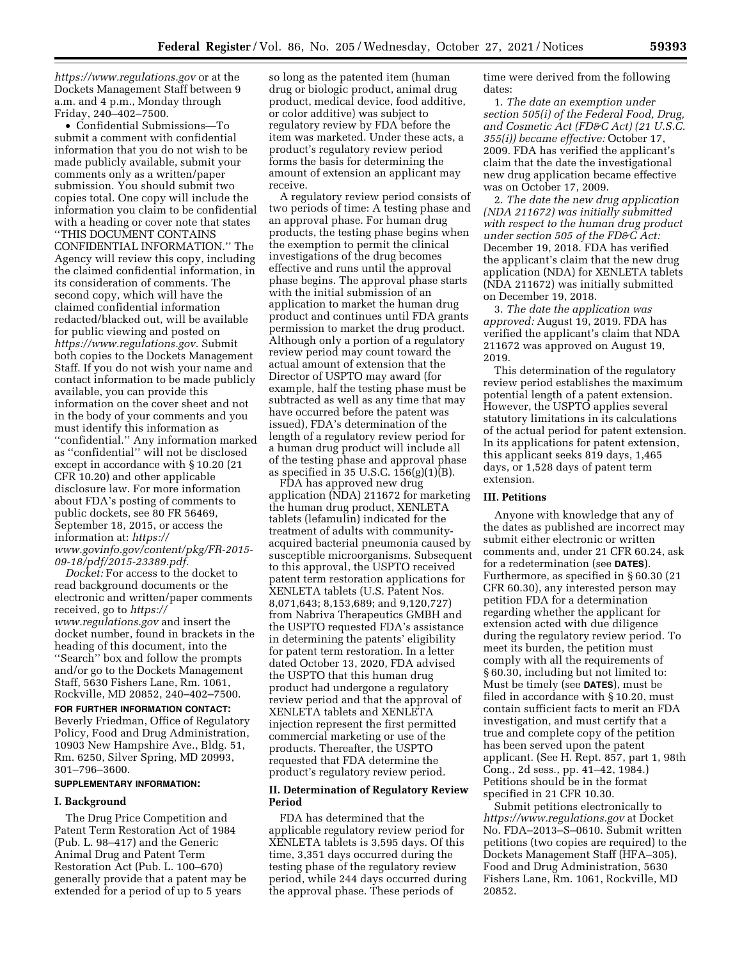*<https://www.regulations.gov>* or at the Dockets Management Staff between 9 a.m. and 4 p.m., Monday through Friday, 240–402–7500.

• Confidential Submissions—To submit a comment with confidential information that you do not wish to be made publicly available, submit your comments only as a written/paper submission. You should submit two copies total. One copy will include the information you claim to be confidential with a heading or cover note that states ''THIS DOCUMENT CONTAINS CONFIDENTIAL INFORMATION.'' The Agency will review this copy, including the claimed confidential information, in its consideration of comments. The second copy, which will have the claimed confidential information redacted/blacked out, will be available for public viewing and posted on *[https://www.regulations.gov.](https://www.regulations.gov)* Submit both copies to the Dockets Management Staff. If you do not wish your name and contact information to be made publicly available, you can provide this information on the cover sheet and not in the body of your comments and you must identify this information as ''confidential.'' Any information marked as ''confidential'' will not be disclosed except in accordance with § 10.20 (21 CFR 10.20) and other applicable disclosure law. For more information about FDA's posting of comments to public dockets, see 80 FR 56469, September 18, 2015, or access the information at: *[https://](https://www.govinfo.gov/content/pkg/FR-2015-09-18/pdf/2015-23389.pdf) [www.govinfo.gov/content/pkg/FR-2015-](https://www.govinfo.gov/content/pkg/FR-2015-09-18/pdf/2015-23389.pdf) [09-18/pdf/2015-23389.pdf.](https://www.govinfo.gov/content/pkg/FR-2015-09-18/pdf/2015-23389.pdf)* 

*Docket:* For access to the docket to read background documents or the electronic and written/paper comments received, go to *[https://](https://www.regulations.gov) [www.regulations.gov](https://www.regulations.gov)* and insert the docket number, found in brackets in the heading of this document, into the ''Search'' box and follow the prompts and/or go to the Dockets Management Staff, 5630 Fishers Lane, Rm. 1061, Rockville, MD 20852, 240–402–7500.

**FOR FURTHER INFORMATION CONTACT:**  Beverly Friedman, Office of Regulatory Policy, Food and Drug Administration, 10903 New Hampshire Ave., Bldg. 51, Rm. 6250, Silver Spring, MD 20993, 301–796–3600.

### **SUPPLEMENTARY INFORMATION:**

#### **I. Background**

The Drug Price Competition and Patent Term Restoration Act of 1984 (Pub. L. 98–417) and the Generic Animal Drug and Patent Term Restoration Act (Pub. L. 100–670) generally provide that a patent may be extended for a period of up to 5 years

so long as the patented item (human drug or biologic product, animal drug product, medical device, food additive, or color additive) was subject to regulatory review by FDA before the item was marketed. Under these acts, a product's regulatory review period forms the basis for determining the amount of extension an applicant may receive.

A regulatory review period consists of two periods of time: A testing phase and an approval phase. For human drug products, the testing phase begins when the exemption to permit the clinical investigations of the drug becomes effective and runs until the approval phase begins. The approval phase starts with the initial submission of an application to market the human drug product and continues until FDA grants permission to market the drug product. Although only a portion of a regulatory review period may count toward the actual amount of extension that the Director of USPTO may award (for example, half the testing phase must be subtracted as well as any time that may have occurred before the patent was issued), FDA's determination of the length of a regulatory review period for a human drug product will include all of the testing phase and approval phase as specified in 35 U.S.C. 156(g)(1)(B).

FDA has approved new drug application (NDA) 211672 for marketing the human drug product, XENLETA tablets (lefamulin) indicated for the treatment of adults with communityacquired bacterial pneumonia caused by susceptible microorganisms. Subsequent to this approval, the USPTO received patent term restoration applications for XENLETA tablets (U.S. Patent Nos. 8,071,643; 8,153,689; and 9,120,727) from Nabriva Therapeutics GMBH and the USPTO requested FDA's assistance in determining the patents' eligibility for patent term restoration. In a letter dated October 13, 2020, FDA advised the USPTO that this human drug product had undergone a regulatory review period and that the approval of XENLETA tablets and XENLETA injection represent the first permitted commercial marketing or use of the products. Thereafter, the USPTO requested that FDA determine the product's regulatory review period.

### **II. Determination of Regulatory Review Period**

FDA has determined that the applicable regulatory review period for XENLETA tablets is 3,595 days. Of this time, 3,351 days occurred during the testing phase of the regulatory review period, while 244 days occurred during the approval phase. These periods of

time were derived from the following dates:

1. *The date an exemption under section 505(i) of the Federal Food, Drug, and Cosmetic Act (FD&C Act) (21 U.S.C. 355(i)) became effective:* October 17, 2009. FDA has verified the applicant's claim that the date the investigational new drug application became effective was on October 17, 2009.

2. *The date the new drug application (NDA 211672) was initially submitted with respect to the human drug product under section 505 of the FD&C Act:*  December 19, 2018. FDA has verified the applicant's claim that the new drug application (NDA) for XENLETA tablets (NDA 211672) was initially submitted on December 19, 2018.

3. *The date the application was approved:* August 19, 2019. FDA has verified the applicant's claim that NDA 211672 was approved on August 19, 2019.

This determination of the regulatory review period establishes the maximum potential length of a patent extension. However, the USPTO applies several statutory limitations in its calculations of the actual period for patent extension. In its applications for patent extension, this applicant seeks 819 days, 1,465 days, or 1,528 days of patent term extension.

### **III. Petitions**

Anyone with knowledge that any of the dates as published are incorrect may submit either electronic or written comments and, under 21 CFR 60.24, ask for a redetermination (see **DATES**). Furthermore, as specified in § 60.30 (21 CFR 60.30), any interested person may petition FDA for a determination regarding whether the applicant for extension acted with due diligence during the regulatory review period. To meet its burden, the petition must comply with all the requirements of § 60.30, including but not limited to: Must be timely (see **DATES**), must be filed in accordance with § 10.20, must contain sufficient facts to merit an FDA investigation, and must certify that a true and complete copy of the petition has been served upon the patent applicant. (See H. Rept. 857, part 1, 98th Cong., 2d sess., pp. 41–42, 1984.) Petitions should be in the format specified in 21 CFR 10.30.

Submit petitions electronically to *<https://www.regulations.gov>* at Docket No. FDA–2013–S–0610. Submit written petitions (two copies are required) to the Dockets Management Staff (HFA–305), Food and Drug Administration, 5630 Fishers Lane, Rm. 1061, Rockville, MD 20852.